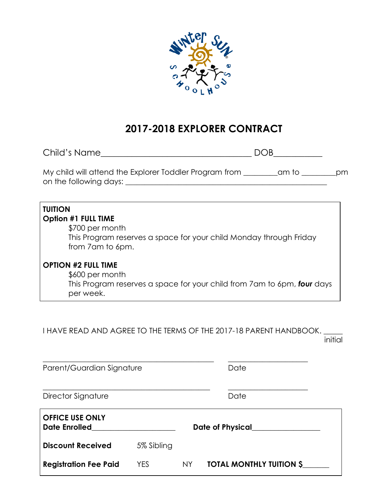

# **2017-2018 EXPLORER CONTRACT**

| Child's Name<br><b>DOB</b> |
|----------------------------|
|----------------------------|

|                        | My child will attend the Explorer Toddler Program from | am to | рm |
|------------------------|--------------------------------------------------------|-------|----|
| on the following days: |                                                        |       |    |

| <b>TUITION</b>                                                          |
|-------------------------------------------------------------------------|
| <b>Option #1 FULL TIME</b>                                              |
| \$700 per month                                                         |
| This Program reserves a space for your child Monday through Friday      |
| from 7 am to 6 pm.                                                      |
|                                                                         |
| <b>OPTION #2 FULL TIME</b>                                              |
| \$600 per month                                                         |
| This Program reserves a space for your child from 7am to 6pm, four days |
| per week.                                                               |

I HAVE READ AND AGREE TO THE TERMS OF THE 2017-18 PARENT HANDBOOK. \_\_\_\_\_

initial

| Parent/Guardian Signature                      |            |                  | Date                            |  |
|------------------------------------------------|------------|------------------|---------------------------------|--|
| Director Signature                             |            |                  | Date                            |  |
| <b>OFFICE USE ONLY</b><br><b>Date Enrolled</b> |            | Date of Physical |                                 |  |
| <b>Discount Received</b>                       | 5% Sibling |                  |                                 |  |
| <b>Registration Fee Paid</b>                   | <b>YES</b> | <b>NY</b>        | <b>TOTAL MONTHLY TUITION \$</b> |  |